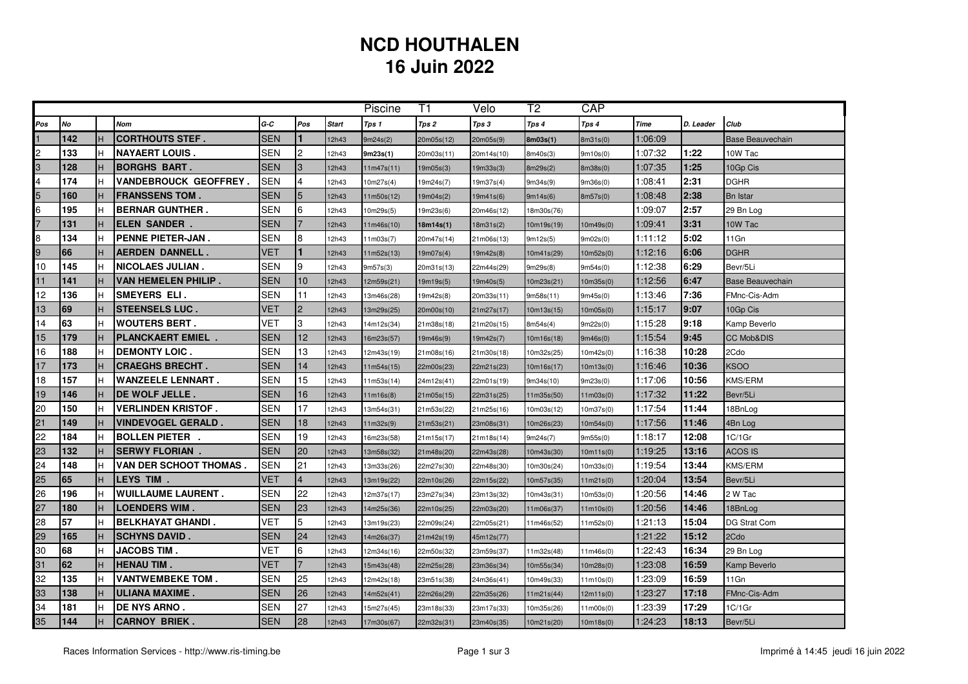## **NCD HOUTHALEN16 Juin 2022**

|     |     |    |                              |            |                 |              | Piscine    | T1         | Velo       | T2         | CAP       |             |           |                         |
|-----|-----|----|------------------------------|------------|-----------------|--------------|------------|------------|------------|------------|-----------|-------------|-----------|-------------------------|
| Pos | No  |    | Nom                          | G-C        | Pos             | <b>Start</b> | Tps 1      | Tps 2      | Tps 3      | Tps 4      | Tps 4     | <b>Time</b> | D. Leader | Club                    |
|     | 142 | H  | <b>CORTHOUTS STEF.</b>       | <b>SEN</b> | 1               | 12h43        | 9m24s(2)   | 20m05s(12) | 20m05s(9)  | 8m03s(1)   | 8m31s(0)  | 1:06:09     |           | <b>Base Beauvechain</b> |
| 2   | 133 | H  | <b>NAYAERT LOUIS .</b>       | <b>SEN</b> | $\overline{c}$  | 12h43        | 9m23s(1)   | 20m03s(11) | 20m14s(10) | 8m40s(3)   | 9m10s(0)  | 1:07:32     | 1:22      | 10W Tac                 |
| 3   | 128 | H  | <b>BORGHS BART.</b>          | <b>SEN</b> | $\mathbf{3}$    | 12h43        | 11m47s(11) | 19m05s(3)  | 19m33s(3)  | 8m29s(2)   | 8m38s(0)  | 1:07:35     | 1:25      | 10Gp Cis                |
| 4   | 174 | H  | VANDEBROUCK GEOFFREY.        | <b>SEN</b> | $\overline{4}$  | 12h43        | 10m27s(4)  | 19m24s(7)  | 19m37s(4)  | 9m34s(9)   | 9m36s(0)  | 1:08:41     | 2:31      | <b>DGHR</b>             |
|     | 160 | H  | <b>IFRANSSENS TOM .</b>      | <b>SEN</b> | $5\overline{5}$ | 12h43        | 11m50s(12) | 19m04s(2)  | 19m41s(6)  | 9m14s(6)   | 8m57s(0)  | 1:08:48     | 2:38      | Bn Istar                |
| 6   | 195 | H  | <b>BERNAR GUNTHER.</b>       | <b>SEN</b> | 6               | 12h43        | 10m29s(5)  | 19m23s(6)  | 20m46s(12) | 18m30s(76) |           | 1:09:07     | 2:57      | 29 Bn Log               |
|     | 131 | H  | <b>IELEN SANDER</b>          | <b>SEN</b> | $\overline{7}$  | 12h43        | 11m46s(10) | 18m14s(1)  | 18m31s(2)  | 10m19s(19) | 10m49s(0) | 1:09:41     | 3:31      | 10W Tac                 |
| 8   | 134 | H. | <b>PENNE PIETER-JAN.</b>     | <b>SEN</b> | 8               | 12h43        | 11m03s(7)  | 20m47s(14) | 21m06s(13) | 9m12s(5)   | 9m02s(0)  | 1:11:12     | 5:02      | 11Gn                    |
| 9   | 66  | H  | <b>AERDEN DANNELL.</b>       | <b>VET</b> | 1               | 12h43        | 11m52s(13) | 19m07s(4)  | 19m42s(8)  | 10m41s(29) | 10m52s(0) | 1:12:16     | 6:06      | <b>DGHR</b>             |
| 10  | 145 | H  | NICOLAES JULIAN.             | <b>SEN</b> | 9               | 12h43        | 9m57s(3)   | 20m31s(13) | 22m44s(29) | 9m29s(8)   | 9m54s(0)  | 1:12:38     | 6:29      | Bevr/5Li                |
| 11  | 141 | H  | <b>VAN HEMELEN PHILIP.</b>   | <b>SEN</b> | 10              | 12h43        | 12m59s(21) | 19m19s(5)  | 19m40s(5)  | 10m23s(21) | 10m35s(0) | 1:12:56     | 6:47      | <b>Base Beauvechain</b> |
| 12  | 136 | H  | <b>ISMEYERS ELI.</b>         | <b>SEN</b> | 11              | 12h43        | 13m46s(28) | 19m42s(8)  | 20m33s(11) | 9m58s(11)  | 9m45s(0)  | 1:13:46     | 7:36      | FMnc-Cis-Adm            |
| 13  | 69  | H  | <b>ISTEENSELS LUC .</b>      | <b>VET</b> | $\overline{2}$  | 12h43        | 13m29s(25) | 20m00s(10) | 21m27s(17) | 10m13s(15) | 10m05s(0) | 1:15:17     | 9:07      | 10Gp Cis                |
| 14  | 63  | H  | <b>WOUTERS BERT.</b>         | <b>VET</b> | 3               | 12h43        | 14m12s(34) | 21m38s(18) | 21m20s(15) | 8m54s(4)   | 9m22s(0)  | 1:15:28     | 9:18      | Kamp Beverlo            |
| 15  | 179 | H  | <b>IPLANCKAERT EMIEL .</b>   | <b>SEN</b> | 12              | 2h43         | 16m23s(57) | 19m46s(9)  | 19m42s(7)  | 10m16s(18) | 9m46s(0)  | 1:15:54     | 9:45      | <b>CC Mob&amp;DIS</b>   |
| 16  | 188 | H. | <b>DEMONTY LOIC.</b>         | <b>SEN</b> | 13              | 12h43        | 12m43s(19) | 21m08s(16) | 21m30s(18) | 10m32s(25) | 10m42s(0) | 1:16:38     | 10:28     | 2Cdo                    |
| 17  | 173 | H  | <b>CRAEGHS BRECHT.</b>       | <b>SEN</b> | 14              | 2h43         | 11m54s(15) | 22m00s(23) | 22m21s(23) | 10m16s(17) | 10m13s(0) | 1:16:46     | 10:36     | <b>KSOO</b>             |
| 18  | 157 | H  | <b>WANZEELE LENNART.</b>     | <b>SEN</b> | 15              | 12h43        | 11m53s(14) | 24m12s(41) | 22m01s(19) | 9m34s(10)  | 9m23s(0)  | 1:17:06     | 10:56     | KMS/ERM                 |
| 19  | 146 | H  | <b>IDE WOLF JELLE .</b>      | <b>SEN</b> | 16              | 12h43        | 11m16s(8)  | 21m05s(15) | 22m31s(25) | 11m35s(50) | 11m03s(0) | 1:17:32     | 11:22     | Bevr/5Li                |
| 20  | 150 | H  | <b>VERLINDEN KRISTOF.</b>    | <b>SEN</b> | 17              | 12h43        | 13m54s(31) | 21m53s(22) | 21m25s(16) | 10m03s(12) | 10m37s(0) | 1:17:54     | 11:44     | 18BnLog                 |
| 21  | 149 | H  | <b>VINDEVOGEL GERALD.</b>    | <b>SEN</b> | 18              | 12h43        | 11m32s(9)  | 21m53s(21) | 23m08s(31) | 10m26s(23) | 10m54s(0) | 1:17:56     | 11:46     | 4Bn Log                 |
| 22  | 184 | H  | <b>BOLLEN PIETER.</b>        | <b>SEN</b> | 19              | 12h43        | 16m23s(58) | 21m15s(17) | 21m18s(14) | 9m24s(7)   | 9m55s(0)  | 1:18:17     | 12:08     | IC/1Gr                  |
| 23  | 132 | H  | <b>SERWY FLORIAN .</b>       | <b>SEN</b> | 20              | 12h43        | 13m58s(32) | 21m48s(20) | 22m43s(28) | 10m43s(30) | 10m11s(0) | 1:19:25     | 13:16     | <b>ACOS IS</b>          |
| 24  | 148 | H. | <b>VAN DER SCHOOT THOMAS</b> | <b>SEN</b> | 21              | 12h43        | 13m33s(26) | 22m27s(30) | 22m48s(30) | 10m30s(24) | 10m33s(0) | 1:19:54     | 13:44     | KMS/ERM                 |
| 25  | 65  | H. | ILEYS TIM .                  | <b>VET</b> | $\overline{4}$  | 12h43        | 13m19s(22) | 22m10s(26) | 22m15s(22) | 10m57s(35) | 11m21s(0) | 1:20:04     | 13:54     | Bevr/5Li                |
| 26  | 196 | H  | <b>WUILLAUME LAURENT.</b>    | <b>SEN</b> | 22              | 12h43        | 12m37s(17) | 23m27s(34) | 23m13s(32) | 10m43s(31) | 10m53s(0) | 1:20:56     | 14:46     | 2 W Tac                 |
| 27  | 180 | H  | <b>ILOENDERS WIM .</b>       | <b>SEN</b> | 23              | 12h43        | 14m25s(36) | 22m10s(25) | 22m03s(20) | 11m06s(37) | 11m10s(0) | 1:20:56     | 14:46     | 18BnLog                 |
| 28  | 57  | H  | <b>BELKHAYAT GHANDI.</b>     | VET        | 5               | 12h43        | 13m19s(23) | 22m09s(24) | 22m05s(21) | 11m46s(52) | 11m52s(0) | 1:21:13     | 15:04     | DG Strat Com            |
| 29  | 165 | H. | <b>ISCHYNS DAVID .</b>       | <b>SEN</b> | 24              | 12h43        | 14m26s(37) | 21m42s(19) | 45m12s(77) |            |           | 1:21:22     | 15:12     | 2Cdo                    |
| 30  | 68  | H. | <b>JACOBS TIM.</b>           | <b>VET</b> | 6               | 12h43        | 12m34s(16) | 22m50s(32) | 23m59s(37) | 11m32s(48) | 11m46s(0) | 1:22:43     | 16:34     | 29 Bn Log               |
| 31  | 62  | H. | IHENAU TIM .                 | <b>VET</b> | $\overline{7}$  | 12h43        | 15m43s(48) | 22m25s(28) | 23m36s(34) | 10m55s(34) | 10m28s(0) | 1:23:08     | 16:59     | Kamp Beverlo            |
| 32  | 135 | H  | <b>VANTWEMBEKE TOM.</b>      | <b>SEN</b> | 25              | 12h43        | 12m42s(18) | 23m51s(38) | 24m36s(41) | 10m49s(33) | 11m10s(0) | 1:23:09     | 16:59     | 11Gn                    |
| 33  | 138 | H  | <b>ULIANA MAXIME.</b>        | <b>SEN</b> | 26              | 12h43        | 14m52s(41) | 22m26s(29) | 22m35s(26) | 11m21s(44) | 12m11s(0) | 1:23:27     | 17:18     | FMnc-Cis-Adm            |
| 34  | 181 | H  | <b>DE NYS ARNO .</b>         | SEN        | 27              | 12h43        | 15m27s(45) | 23m18s(33) | 23m17s(33) | 10m35s(26) | 11m00s(0) | 1:23:39     | 17:29     | 1C/1Gr                  |
| 35  | 144 | H  | <b>CARNOY BRIEK.</b>         | <b>SEN</b> | 28              | 12h43        | 17m30s(67) | 22m32s(31) | 23m40s(35) | 10m21s(20) | 10m18s(0) | 1:24:23     | 18:13     | Bevr/5Li                |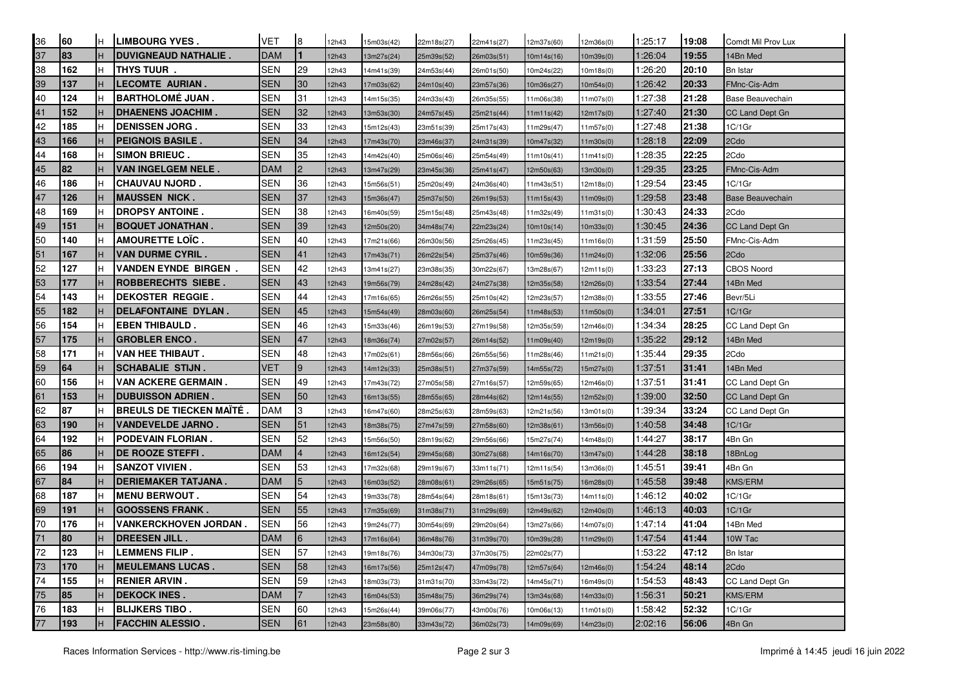|                                    | 60  | IH. | <b>LIMBOURG YVES.</b>           | <b>VET</b> | 8               | 12h43 | 15m03s(42) | 22m18s(27) | 22m41s(27) | 12m37s(60) | 12m36s(0)            | 1:25:17 | 19:08 | Comdt Mil Prov Lux      |
|------------------------------------|-----|-----|---------------------------------|------------|-----------------|-------|------------|------------|------------|------------|----------------------|---------|-------|-------------------------|
| $\frac{36}{37}$                    | 83  | H   | <b>DUVIGNEAUD NATHALIE.</b>     | <b>DAM</b> | $\blacksquare$  | 12h43 | 13m27s(24) | 25m39s(52) | 26m03s(51) | 10m14s(16) | 10m39s(0)            | 1:26:04 | 19:55 | 14Bn Med                |
| 38                                 | 162 | H   | THYS TUUR.                      | <b>SEN</b> | 29              | 12h43 | 14m41s(39) | 24m53s(44) | 26m01s(50) | 10m24s(22) | 10m18s(0)            | 1:26:20 | 20:10 | Bn Istar                |
| 39<br>40<br>41                     | 137 | H.  | <b>LECOMTE AURIAN.</b>          | <b>SEN</b> | 30              | 12h43 | 17m03s(62) | 24m10s(40) | 23m57s(36) | 10m36s(27) | 10m54s(0)            | 1:26:42 | 20:33 | FMnc-Cis-Adm            |
|                                    | 124 | H   | <b>BARTHOLOMÉ JUAN.</b>         | SEN        | 31              | 12h43 | 14m15s(35) | 24m33s(43) | 26m35s(55) | 11m06s(38) | 1m07s(0)             | 1:27:38 | 21:28 | Base Beauvechain        |
|                                    | 152 | H   | <b>DHAENENS JOACHIM.</b>        | <b>SEN</b> | 32              | 12h43 | 13m53s(30) | 24m57s(45) | 25m21s(44) | 11m11s(42) | 2m17s(0)             | 1:27:40 | 21:30 | <b>CC Land Dept Gn</b>  |
| 42                                 | 185 | H   | <b>DENISSEN JORG .</b>          | <b>SEN</b> | 33              | 12h43 | 15m12s(43) | 23m51s(39) | 25m17s(43) | 11m29s(47) | 11m57s(0)            | 1:27:48 | 21:38 | 1C/1Gr                  |
| $\frac{43}{44}$<br>$\frac{45}{46}$ | 166 | H.  | <b>PEIGNOIS BASILE.</b>         | <b>SEN</b> | 34              | 12h43 | 17m43s(70) | 23m46s(37) | 24m31s(39) | 10m47s(32) | 1 <sub>m30s(0)</sub> | 1:28:18 | 22:09 | 2Cdo                    |
|                                    | 168 | H   | <b>SIMON BRIEUC.</b>            | SEN        | 35              | 12h43 | 4m42s(40)  | 25m06s(46) | 25m54s(49) | 11m10s(41) | 11m41s(0)            | 1:28:35 | 22:25 | 2Cdo                    |
|                                    | 82  | H   | <b>VAN INGELGEM NELE .</b>      | <b>DAM</b> | $2^{\circ}$     | 12h43 | 13m47s(29) | 23m45s(36) | 25m41s(47) | 12m50s(63) | 13m30s(0)            | 1:29:35 | 23:25 | FMnc-Cis-Adm            |
|                                    | 186 | H   | <b>CHAUVAU NJORD.</b>           | SEN        | 36              | 12h43 | 15m56s(51) | 25m20s(49) | 24m36s(40) | 11m43s(51) | 12m18s(0)            | 1:29:54 | 23:45 | 1C/1Gr                  |
| 47                                 | 126 | H   | <b>IMAUSSEN NICK.</b>           | <b>SEN</b> | 37              | 12h43 | 15m36s(47) | 25m37s(50) | 26m19s(53) | 11m15s(43) | 1m09s(0)             | 1:29:58 | 23:48 | <b>Base Beauvechain</b> |
| 48                                 | 169 | H   | <b>DROPSY ANTOINE.</b>          | <b>SEN</b> | 38              | 12h43 | 16m40s(59) | 25m15s(48) | 25m43s(48) | 11m32s(49) | 11m31s(0)            | 1:30:43 | 24:33 | 2Cdo                    |
| 49                                 | 151 | H   | <b>BOQUET JONATHAN .</b>        | <b>SEN</b> | 39              | 12h43 | 12m50s(20) | 34m48s(74) | 22m23s(24) | 10m10s(14) | 10m33s(0)            | 1:30:45 | 24:36 | CC Land Dept Gn         |
| 50                                 | 140 | H.  | <b>AMOURETTE LOIC.</b>          | SEN        | 40              | 12h43 | 17m21s(66) | 26m30s(56) | 25m26s(45) | 11m23s(45) | 1m16s(0)             | 1:31:59 | 25:50 | FMnc-Cis-Adm            |
| $\frac{51}{52}$                    | 167 | H.  | <b>VAN DURME CYRIL .</b>        | <b>SEN</b> | 41              | 12h43 | 17m43s(71) | 26m22s(54) | 25m37s(46) | 10m59s(36) | 11m24s(0)            | 1:32:06 | 25:56 | 2Cdo                    |
|                                    | 127 | H   | <b>VANDEN EYNDE BIRGEN.</b>     | <b>SEN</b> | 42              | 12h43 | 13m41s(27) | 23m38s(35) | 30m22s(67) | 13m28s(67) | 12m11s(0)            | 1:33:23 | 27:13 | <b>CBOS Noord</b>       |
|                                    | 177 | H   | <b>ROBBERECHTS SIEBE.</b>       | <b>SEN</b> | 43              | 12h43 | 19m56s(79) | 24m28s(42) | 24m27s(38) | 12m35s(58) | 12m26s(0)            | 1:33:54 | 27:44 | 14Bn Med                |
|                                    | 143 | H   | <b>DEKOSTER REGGIE.</b>         | SEN        | 44              | 12h43 | 17m16s(65) | 26m26s(55) | 25m10s(42) | 12m23s(57) | 2m38s(0)             | 1:33:55 | 27:46 | Bevr/5Li                |
| 53<br>54<br>55                     | 182 | H.  | <b>DELAFONTAINE DYLAN.</b>      | <b>SEN</b> | 45              | 12h43 | 15m54s(49) | 28m03s(60) | 26m25s(54) | 11m48s(53) | 11m50s(0)            | 1:34:01 | 27:51 | 1C/1Gr                  |
| 56                                 | 154 | H   | <b>EBEN THIBAULD.</b>           | SEN        | 46              | 12h43 | 15m33s(46) | 26m19s(53) | 27m19s(58) | 12m35s(59) | 12m46s(0)            | 1:34:34 | 28:25 | CC Land Dept Gn         |
| 57                                 | 175 | H.  | <b>GROBLER ENCO.</b>            | <b>SEN</b> | 47              | 12h43 | 18m36s(74) | 27m02s(57) | 26m14s(52) | 11m09s(40) | 2m19s(0)             | 1:35:22 | 29:12 | 14Bn Med                |
|                                    | 171 | H   | VAN HEE THIBAUT.                | SEN        | 48              | 12h43 | 17m02s(61) | 28m56s(66) | 26m55s(56) | 11m28s(46) | 11m21s(0)            | 1:35:44 | 29:35 | 2Cdo                    |
| 58<br>59                           | 64  | H   | SCHABALIE STIJN.                | <b>VET</b> | 9 <sup>°</sup>  | 12h43 | 14m12s(33) | 25m38s(51) | 27m37s(59) | 14m55s(72) | 15m27s(0)            | 1:37:51 | 31:41 | 14Bn Med                |
| 60                                 | 156 | H   | <b>VAN ACKERE GERMAIN.</b>      | SEN        | 49              | 12h43 | 17m43s(72) | 27m05s(58) | 27m16s(57) | 12m59s(65) | 12m46s(0)            | 1:37:51 | 31:41 | CC Land Dept Gn         |
| 61                                 | 153 | H   | <b>DUBUISSON ADRIEN.</b>        | <b>SEN</b> | 50              | 12h43 | 16m13s(55) | 28m55s(65) | 28m44s(62) | 12m14s(55) | 12m52s(0)            | 1:39:00 | 32:50 | CC Land Dept Gn         |
| 62                                 | 87  | H   | <b>BREULS DE TIECKEN MAITÉ.</b> | <b>DAM</b> | 3               | 12h43 | 16m47s(60) | 28m25s(63) | 28m59s(63) | 12m21s(56) | 13m01s(0)            | 1:39:34 | 33:24 | CC Land Dept Gn         |
| 63                                 | 190 | H.  | <b>VANDEVELDE JARNO .</b>       | <b>SEN</b> | 51              | 12h43 | 18m38s(75) | 27m47s(59) | 27m58s(60) | 12m38s(61) | 13m56s(0)            | 1:40:58 | 34:48 | 1C/1Gr                  |
| 64                                 | 192 | H   | <b>PODEVAIN FLORIAN.</b>        | <b>SEN</b> | 52              | 12h43 | 5m56s(50)  | 28m19s(62) | 29m56s(66) | 15m27s(74) | 4m48s(0)             | 1:44:27 | 38:17 | 4Bn Gn                  |
| $\frac{65}{66}$                    | 86  | H   | <b>DE ROOZE STEFFI.</b>         | <b>DAM</b> | $\overline{4}$  | 12h43 | 16m12s(54) | 29m45s(68) | 30m27s(68) | 14m16s(70) | 13m47s(0)            | 1:44:28 | 38:18 | 18BnLog                 |
|                                    | 194 | H   | <b>ISANZOT VIVIEN .</b>         | <b>SEN</b> | 53              | 12h43 | 17m32s(68) | 29m19s(67) | 33m11s(71) | 12m11s(54) | 3m36s(0)             | 1:45:51 | 39:41 | 4Bn Gn                  |
| $\frac{67}{68}$                    | 84  | H.  | <b>DERIEMAKER TATJANA .</b>     | <b>DAM</b> | $5\overline{)}$ | 12h43 | 16m03s(52) | 28m08s(61) | 29m26s(65) | 15m51s(75) | 6m28s(0)             | 1:45:58 | 39:48 | KMS/ERM                 |
|                                    | 187 | H.  | <b>MENU BERWOUT.</b>            | SEN        | 54              | 12h43 | 9m33s(78)  | 28m54s(64) | 28m18s(61) | 15m13s(73) | 4m11s(0)             | 1:46:12 | 40:02 | 1C/1Gr                  |
| 69                                 | 191 | H   | <b>GOOSSENS FRANK .</b>         | <b>SEN</b> | 55              | 12h43 | 17m35s(69) | 31m38s(71) | 31m29s(69) | 12m49s(62) | 12m40s(0)            | 1:46:13 | 40:03 | 1C/1Gr                  |
| 70                                 | 176 | H   | VANKERCKHOVEN JORDAN.           | <b>SEN</b> | 56              | 12h43 | 19m24s(77) | 30m54s(69) | 29m20s(64) | 13m27s(66) | 4m07s(0)             | 1:47:14 | 41:04 | 14Bn Med                |
| $\overline{71}$                    | 80  | H   | <b>DREESEN JILL.</b>            | <b>DAM</b> | 6               | 12h43 | 17m16s(64) | 36m48s(76) | 31m39s(70) | 10m39s(28) | 1m29s(0)             | 1:47:54 | 41:44 | 10W Tac                 |
| 72                                 | 123 | H   | <b>LEMMENS FILIP .</b>          | SEN        | 57              | 12h43 | 19m18s(76) | 34m30s(73) | 37m30s(75) | 22m02s(77) |                      | 1:53:22 | 47:12 | Bn Istar                |
| 73                                 | 170 | Н.  | <b>MEULEMANS LUCAS.</b>         | <b>SEN</b> | 58              | 12h43 | 16m17s(56) | 25m12s(47) | 47m09s(78) | 12m57s(64) | 2m46s(0)             | 1:54:24 | 48:14 | 2Cdo                    |
| 74                                 | 155 | H   | <b>RENIER ARVIN.</b>            | SEN        | 59              | 12h43 | 18m03s(73) | 31m31s(70) | 33m43s(72) | 14m45s(71) | 16m49s(0)            | 1:54:53 | 48:43 | CC Land Dept Gn         |
| 75                                 | 85  | H   | <b>DEKOCK INES.</b>             | <b>DAM</b> | $\overline{7}$  | 12h43 | 16m04s(53) | 35m48s(75) | 36m29s(74) | 13m34s(68) | 14m33s(0)            | 1:56:31 | 50:21 | KMS/ERM                 |
| 76                                 | 183 | H   | <b>BLIJKERS TIBO .</b>          | SEN        | 60              | 12h43 | 15m26s(44) | 39m06s(77) | 43m00s(76) | 10m06s(13) | 11m01s(0)            | 1:58:42 | 52:32 | 1C/1Gr                  |
| 77                                 | 193 | H.  | <b>FACCHIN ALESSIO.</b>         | <b>SEN</b> | 61              | 12h43 | 23m58s(80) | 33m43s(72) | 36m02s(73) | 14m09s(69) | 14m23s(0)            | 2:02:16 | 56:06 | 4Bn Gn                  |